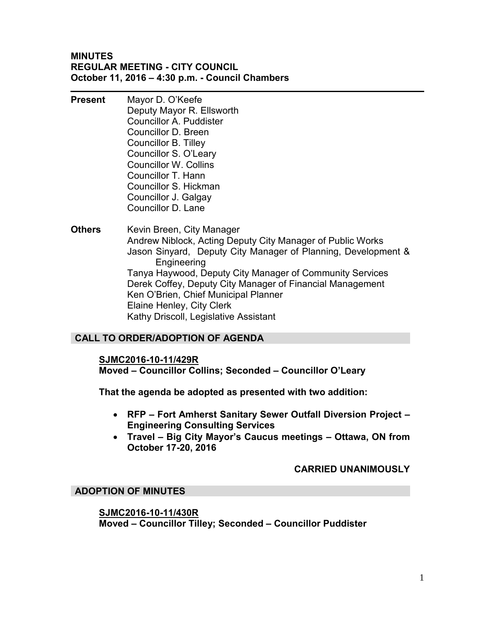#### **MINUTES REGULAR MEETING - CITY COUNCIL October 11, 2016 – 4:30 p.m. - Council Chambers**

- **Present** Mayor D. O'Keefe Deputy Mayor R. Ellsworth Councillor A. Puddister Councillor D. Breen Councillor B. Tilley Councillor S. O'Leary Councillor W. Collins Councillor T. Hann Councillor S. Hickman Councillor J. Galgay Councillor D. Lane
- **Others** Kevin Breen, City Manager Andrew Niblock, Acting Deputy City Manager of Public Works Jason Sinyard, Deputy City Manager of Planning, Development & Engineering Tanya Haywood, Deputy City Manager of Community Services Derek Coffey, Deputy City Manager of Financial Management Ken O'Brien, Chief Municipal Planner Elaine Henley, City Clerk Kathy Driscoll, Legislative Assistant

## **CALL TO ORDER/ADOPTION OF AGENDA**

#### **SJMC2016-10-11/429R**

**Moved – Councillor Collins; Seconded – Councillor O'Leary** 

**That the agenda be adopted as presented with two addition:** 

- **RFP Fort Amherst Sanitary Sewer Outfall Diversion Project Engineering Consulting Services**
- **Travel Big City Mayor's Caucus meetings Ottawa, ON from October 17-20, 2016**

#### **CARRIED UNANIMOUSLY**

#### **ADOPTION OF MINUTES**

#### **SJMC2016-10-11/430R**

**Moved – Councillor Tilley; Seconded – Councillor Puddister**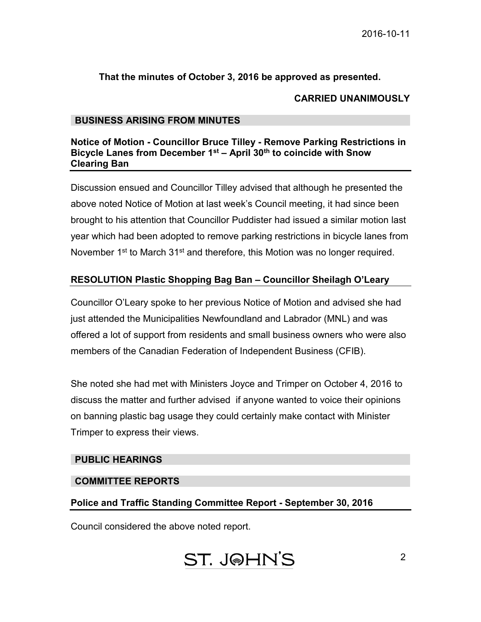## **That the minutes of October 3, 2016 be approved as presented.**

#### **CARRIED UNANIMOUSLY**

#### **BUSINESS ARISING FROM MINUTES**

#### **Notice of Motion - Councillor Bruce Tilley - Remove Parking Restrictions in Bicycle Lanes from December 1st – April 30th to coincide with Snow Clearing Ban**

Discussion ensued and Councillor Tilley advised that although he presented the above noted Notice of Motion at last week's Council meeting, it had since been brought to his attention that Councillor Puddister had issued a similar motion last year which had been adopted to remove parking restrictions in bicycle lanes from November 1<sup>st</sup> to March 31<sup>st</sup> and therefore, this Motion was no longer required.

## **RESOLUTION Plastic Shopping Bag Ban – Councillor Sheilagh O'Leary**

Councillor O'Leary spoke to her previous Notice of Motion and advised she had just attended the Municipalities Newfoundland and Labrador (MNL) and was offered a lot of support from residents and small business owners who were also members of the Canadian Federation of Independent Business (CFIB).

She noted she had met with Ministers Joyce and Trimper on October 4, 2016 to discuss the matter and further advised if anyone wanted to voice their opinions on banning plastic bag usage they could certainly make contact with Minister Trimper to express their views.

#### **PUBLIC HEARINGS**

#### **COMMITTEE REPORTS**

#### **Police and Traffic Standing Committee Report - September 30, 2016**

Council considered the above noted report.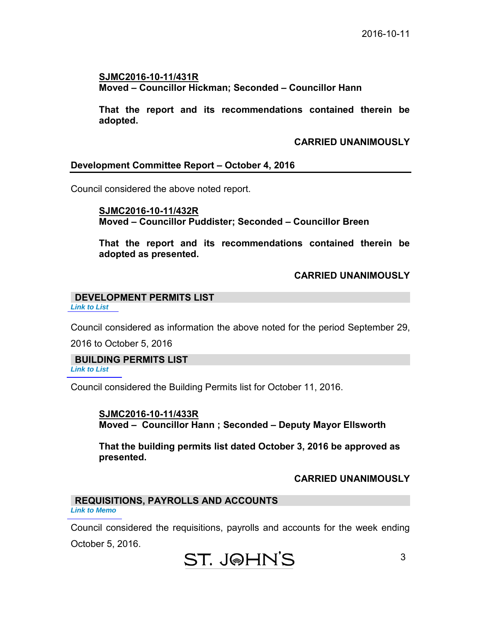**SJMC2016-10-11/431R Moved – Councillor Hickman; Seconded – Councillor Hann** 

 **That the report and its recommendations contained therein be adopted.** 

 **CARRIED UNANIMOUSLY** 

#### **Development Committee Report – October 4, 2016**

Council considered the above noted report.

 **SJMC2016-10-11/432R Moved – Councillor Puddister; Seconded – Councillor Breen** 

 **That the report and its recommendations contained therein be adopted as presented.** 

#### **CARRIED UNANIMOUSLY**

#### **DEVELOPMENT PERMITS LIST**  *[Link to List](#page-6-0)*

Council considered as information the above noted for the period September 29,

2016 to October 5, 2016

**BUILDING PERMITS LIST**

*[Link to List](#page-7-0)* 

Council considered the Building Permits list for October 11, 2016.

**SJMC2016-10-11/433R Moved – Councillor Hann ; Seconded – Deputy Mayor Ellsworth** 

**That the building permits list dated October 3, 2016 be approved as presented.** 

## **CARRIED UNANIMOUSLY**

#### **REQUISITIONS, PAYROLLS AND ACCOUNTS** *[Link to Memo](#page-10-0)*

Council considered the requisitions, payrolls and accounts for the week ending October 5, 2016.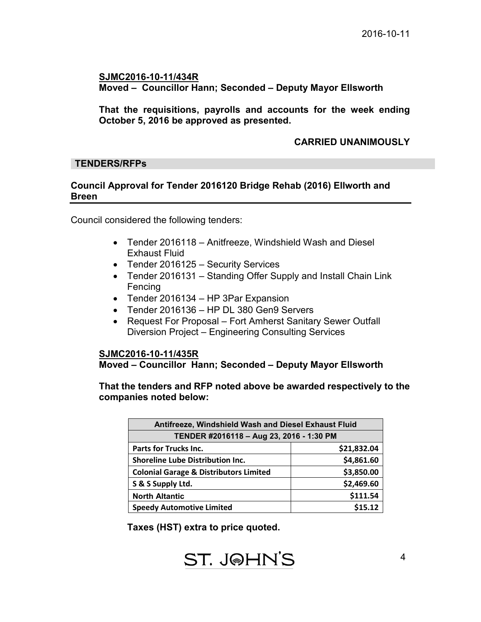4

#### **SJMC2016-10-11/434R Moved – Councillor Hann; Seconded – Deputy Mayor Ellsworth**

**That the requisitions, payrolls and accounts for the week ending October 5, 2016 be approved as presented.** 

#### **CARRIED UNANIMOUSLY**

#### **TENDERS/RFPs**

#### **Council Approval for Tender 2016120 Bridge Rehab (2016) Ellworth and Breen**

Council considered the following tenders:

- Tender 2016118 Anitfreeze, Windshield Wash and Diesel Exhaust Fluid
- Tender 2016125 Security Services
- Tender 2016131 Standing Offer Supply and Install Chain Link Fencing
- Tender 2016134 HP 3Par Expansion
- Tender 2016136 HP DL 380 Gen9 Servers
- Request For Proposal Fort Amherst Sanitary Sewer Outfall Diversion Project – Engineering Consulting Services

#### **SJMC2016-10-11/435R**

**Moved – Councillor Hann; Seconded – Deputy Mayor Ellsworth**

**That the tenders and RFP noted above be awarded respectively to the companies noted below:** 

| Antifreeze, Windshield Wash and Diesel Exhaust Fluid |             |  |  |
|------------------------------------------------------|-------------|--|--|
| TENDER #2016118 - Aug 23, 2016 - 1:30 PM             |             |  |  |
| <b>Parts for Trucks Inc.</b>                         | \$21,832.04 |  |  |
| <b>Shoreline Lube Distribution Inc.</b>              | \$4,861.60  |  |  |
| <b>Colonial Garage &amp; Distributors Limited</b>    | \$3,850.00  |  |  |
| S & S Supply Ltd.                                    | \$2,469.60  |  |  |
| <b>North Altantic</b>                                | \$111.54    |  |  |
| <b>Speedy Automotive Limited</b>                     | \$15.12     |  |  |

**Taxes (HST) extra to price quoted.**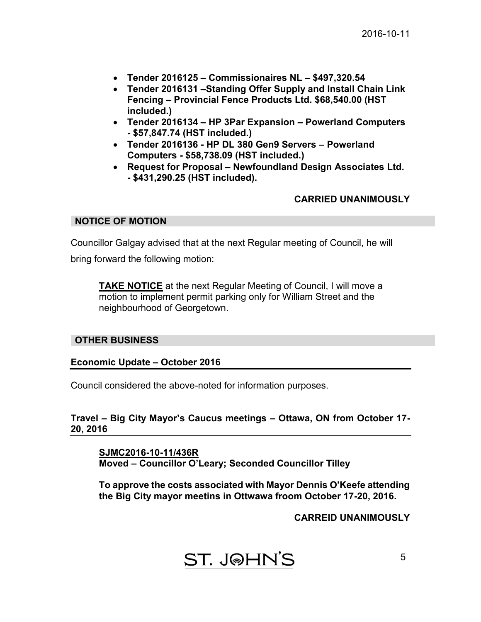- **Tender 2016125 Commissionaires NL \$497,320.54**
- **Tender 2016131 –Standing Offer Supply and Install Chain Link Fencing – Provincial Fence Products Ltd. \$68,540.00 (HST included.)**
- **Tender 2016134 HP 3Par Expansion Powerland Computers - \$57,847.74 (HST included.)**
- **Tender 2016136 HP DL 380 Gen9 Servers Powerland Computers - \$58,738.09 (HST included.)**
- **Request for Proposal Newfoundland Design Associates Ltd. - \$431,290.25 (HST included).**

## **CARRIED UNANIMOUSLY**

#### **NOTICE OF MOTION**

Councillor Galgay advised that at the next Regular meeting of Council, he will

bring forward the following motion:

**TAKE NOTICE** at the next Regular Meeting of Council, I will move a motion to implement permit parking only for William Street and the neighbourhood of Georgetown.

#### **OTHER BUSINESS**

#### **Economic Update – October 2016**

Council considered the above-noted for information purposes.

**Travel – Big City Mayor's Caucus meetings – Ottawa, ON from October 17- 20, 2016** 

**SJMC2016-10-11/436R Moved – Councillor O'Leary; Seconded Councillor Tilley** 

**To approve the costs associated with Mayor Dennis O'Keefe attending the Big City mayor meetins in Ottwawa froom October 17-20, 2016.** 

**CARREID UNANIMOUSLY**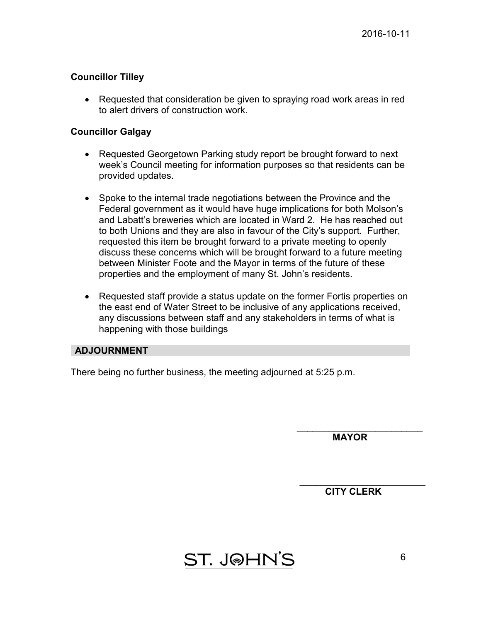## **Councillor Tilley**

• Requested that consideration be given to spraying road work areas in red to alert drivers of construction work.

#### **Councillor Galgay**

- Requested Georgetown Parking study report be brought forward to next week's Council meeting for information purposes so that residents can be provided updates.
- Spoke to the internal trade negotiations between the Province and the Federal government as it would have huge implications for both Molson's and Labatt's breweries which are located in Ward 2. He has reached out to both Unions and they are also in favour of the City's support. Further, requested this item be brought forward to a private meeting to openly discuss these concerns which will be brought forward to a future meeting between Minister Foote and the Mayor in terms of the future of these properties and the employment of many St. John's residents.
- Requested staff provide a status update on the former Fortis properties on the east end of Water Street to be inclusive of any applications received, any discussions between staff and any stakeholders in terms of what is happening with those buildings

## **ADJOURNMENT**

There being no further business, the meeting adjourned at 5:25 p.m.

 $\overline{\phantom{a}}$  , where  $\overline{\phantom{a}}$  , where  $\overline{\phantom{a}}$  , where  $\overline{\phantom{a}}$  , where  $\overline{\phantom{a}}$  **MAYOR** 

 $\overline{\phantom{a}}$  , where  $\overline{\phantom{a}}$  , where  $\overline{\phantom{a}}$  , where  $\overline{\phantom{a}}$  , where  $\overline{\phantom{a}}$ **CITY CLERK** 

ST. J@HN'S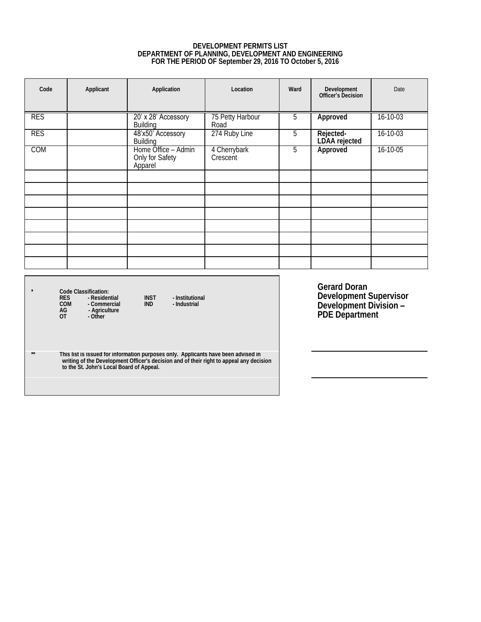#### **DEVELOPMENT PERMITS LIST DEPARTMENT OF PLANNING, DEVELOPMENT AND ENGINEERING FOR THE PERIOD OF September 29, 2016 TO October 5, 2016**

<span id="page-6-0"></span>

| Code | Applicant | Application                                       | Location                 | Ward | Development<br>Officer's Decision | Date           |
|------|-----------|---------------------------------------------------|--------------------------|------|-----------------------------------|----------------|
| RES  |           | 20' x 28' Accessory<br>Building                   | 75 Petty Harbour<br>Road | 5    | Approved                          | 16-10-03       |
| RES  |           | 48'x50' Accessory<br>Building                     | 274 Ruby Line            | 5    | Rejected-<br>LDAA rejected        | $16 - 10 - 03$ |
| COM  |           | Home Office - Admin<br>Only for Safety<br>Apparel | 4 Cherrybark<br>Crescent | 5    | Approved                          | $16 - 10 - 05$ |
|      |           |                                                   |                          |      |                                   |                |
|      |           |                                                   |                          |      |                                   |                |
|      |           |                                                   |                          |      |                                   |                |
|      |           |                                                   |                          |      |                                   |                |
|      |           |                                                   |                          |      |                                   |                |
|      |           |                                                   |                          |      |                                   |                |
|      |           |                                                   |                          |      |                                   |                |
|      |           |                                                   |                          |      |                                   |                |

**\* Code Classification: RES - Residential INST - Institutional COM - Commercial IND - Industrial AG - Agriculture OT - Other**

**Gerard Doran Development Supervisor Development Division – PDE Department**

**\*\* This list is issued for information purposes only. Applicants have been advised in writing of the Development Officer's decision and of their right to appeal any decision to the St. John's Local Board of Appeal.**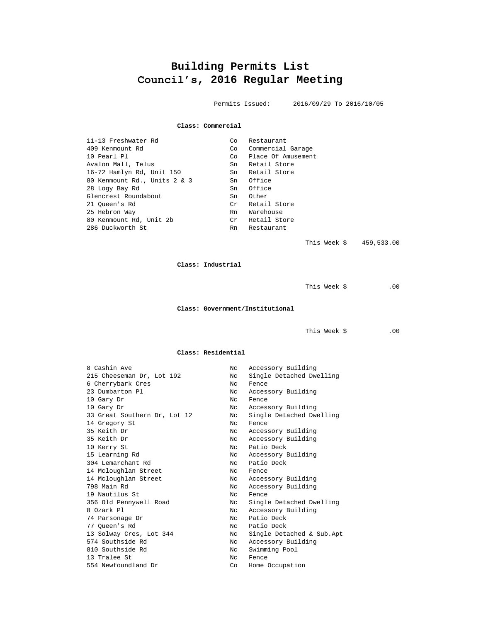## **Building Permits List Council's, 2016 Regular Meeting**

Permits Issued: 2016/09/29 To 2016/10/05

#### **Class: Commercial**

<span id="page-7-0"></span>

| 11-13 Freshwater Rd          | Co.                 | Restaurant         |
|------------------------------|---------------------|--------------------|
| 409 Kenmount Rd              | Co                  | Commercial Garage  |
| 10 Pearl Pl                  | Co                  | Place Of Amusement |
| Avalon Mall, Telus           | Sn                  | Retail Store       |
| 16-72 Hamlyn Rd, Unit 150    |                     | Sn Retail Store    |
| 80 Kenmount Rd., Units 2 & 3 | Sn                  | Office             |
| 28 Logy Bay Rd               | Sn                  | Office             |
| Glencrest Roundabout         | Sn                  | Other              |
| 21 Oueen's Rd                | $\operatorname{Cr}$ | Retail Store       |
| 25 Hebron Way                | Rn                  | Warehouse          |
| 80 Kenmount Rd, Unit 2b      | Cr                  | Retail Store       |
| 286 Duckworth St             | Rn                  | Restaurant         |
|                              |                     |                    |

This Week \$ 459,533.00

**Class: Industrial**

This Week  $\zeta$  .00

**Class: Government/Institutional**

This Week \$ .00

#### **Class: Residential**

| 8 Cashin Ave                 | Nc  | Accessory Building        |
|------------------------------|-----|---------------------------|
| 215 Cheeseman Dr, Lot 192    | Nc  | Single Detached Dwelling  |
| 6 Cherrybark Cres            | Nc  | Fence                     |
| 23 Dumbarton Pl              | Nc. | Accessory Building        |
| 10 Gary Dr                   | Nc. | Fence                     |
| 10 Gary Dr                   | Nc  | Accessory Building        |
| 33 Great Southern Dr, Lot 12 | Nc  | Single Detached Dwelling  |
| 14 Gregory St                | Nc. | Fence                     |
| 35 Keith Dr                  | Nc  | Accessory Building        |
| 35 Keith Dr                  | Nc  | Accessory Building        |
| 10 Kerry St                  | Nc. | Patio Deck                |
| 15 Learning Rd               | Nc  | Accessory Building        |
| 304 Lemarchant Rd            | Nc  | Patio Deck                |
| 14 Mcloughlan Street         | Nc. | Fence                     |
| 14 Mcloughlan Street         | Nc. | Accessory Building        |
| 798 Main Rd                  | Nc  | Accessory Building        |
| 19 Nautilus St               | Nc. | Fence                     |
| 356 Old Pennywell Road       | Nc  | Single Detached Dwelling  |
| 8 Ozark Pl                   | Nc  | Accessory Building        |
| 74 Parsonage Dr              | Nc. | Patio Deck                |
| 77 Oueen's Rd                | Nc  | Patio Deck                |
| 13 Solway Cres, Lot 344      | Nc  | Single Detached & Sub.Apt |
| 574 Southside Rd             | Nc  | Accessory Building        |
| 810 Southside Rd             | Nc  | Swimming Pool             |
| 13 Tralee St                 | Nc. | Fence                     |
| 554 Newfoundland Dr          | Co  | Home Occupation           |
|                              |     |                           |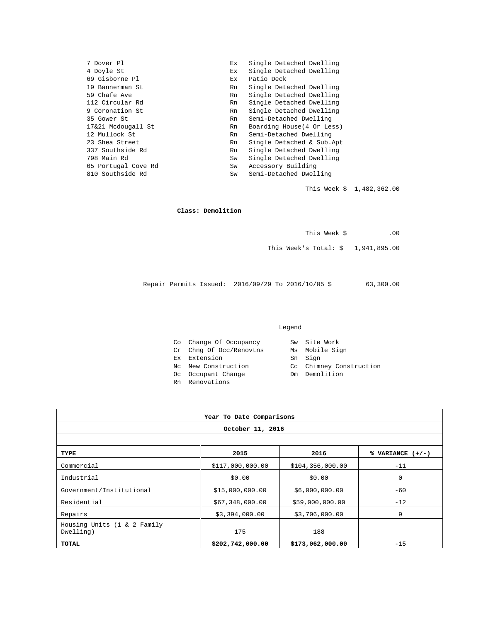| 7 Dover Pl          | Ex. | Single Detached Dwelling   |
|---------------------|-----|----------------------------|
| 4 Doyle St          | Ex  | Single Detached Dwelling   |
| 69 Gisborne Pl      | Ex. | Patio Deck                 |
| 19 Bannerman St     | Rn  | Single Detached Dwelling   |
| 59 Chafe Ave        | Rn  | Single Detached Dwelling   |
| 112 Circular Rd     | Rn  | Single Detached Dwelling   |
| 9 Coronation St     | Rn  | Single Detached Dwelling   |
| 35 Gower St         | Rn  | Semi-Detached Dwelling     |
| 17&21 Mcdougall St  | Rn  | Boarding House (4 Or Less) |
| 12 Mullock St       | Rn  | Semi-Detached Dwelling     |
| 23 Shea Street      | Rn  | Single Detached & Sub.Apt  |
| 337 Southside Rd    | Rn  | Single Detached Dwelling   |
| 798 Main Rd         | Sw  | Single Detached Dwelling   |
| 65 Portugal Cove Rd | Sw  | Accessory Building         |
| 810 Southside Rd    | Sw  | Semi-Detached Dwelling     |
|                     |     |                            |

This Week \$ 1,482,362.00

#### **Class: Demolition**

| This Week \$ |  | .00 |
|--------------|--|-----|
|              |  |     |

This Week's Total: \$ 1,941,895.00

Repair Permits Issued: 2016/09/29 To 2016/10/05 \$ 63,300.00

#### Legend

| Co Change Of Occupancy  | Sw Site Work            |
|-------------------------|-------------------------|
| Cr Chng Of Occ/Renovtns | Ms Mobile Sign          |
| Ex Extension            | Sn Sign                 |
| No New Construction     | Cc Chimney Construction |
| Oc Occupant Change      | Dm Demolition           |
| Rn Renovations          |                         |

| Year To Date Comparisons                 |                  |                    |                    |  |  |
|------------------------------------------|------------------|--------------------|--------------------|--|--|
| October 11, 2016                         |                  |                    |                    |  |  |
|                                          |                  |                    |                    |  |  |
| TYPE                                     | 2015             | 2016               | % VARIANCE $(+/-)$ |  |  |
| Commercial                               | \$117,000,000.00 | \$104, 356, 000.00 | $-11$              |  |  |
| Industrial                               | \$0.00           | \$0.00             | $\mathbf 0$        |  |  |
| Government/Institutional                 | \$15,000,000.00  | \$6,000,000.00     | $-60$              |  |  |
| Residential                              | \$67,348,000.00  | \$59,000,000.00    | $-12$              |  |  |
| Repairs                                  | \$3,394,000.00   | \$3,706,000.00     | 9                  |  |  |
| Housing Units (1 & 2 Family<br>Dwelling) | 175              | 188                |                    |  |  |
| TOTAL                                    | \$202,742,000.00 | \$173,062,000.00   | $-15$              |  |  |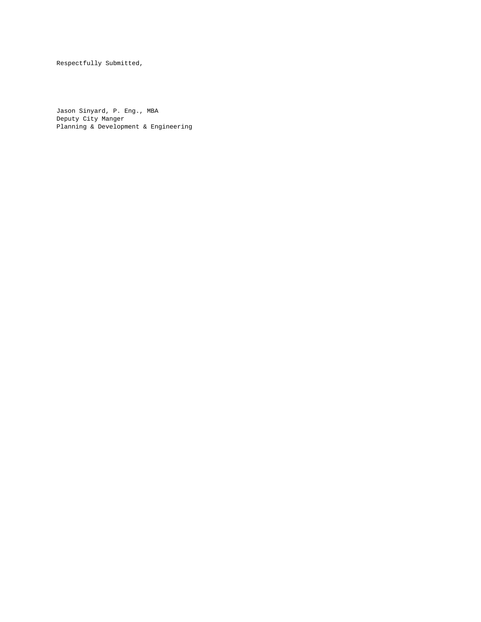Respectfully Submitted,

Jason Sinyard, P. Eng., MBA Deputy City Manger Planning & Development & Engineering